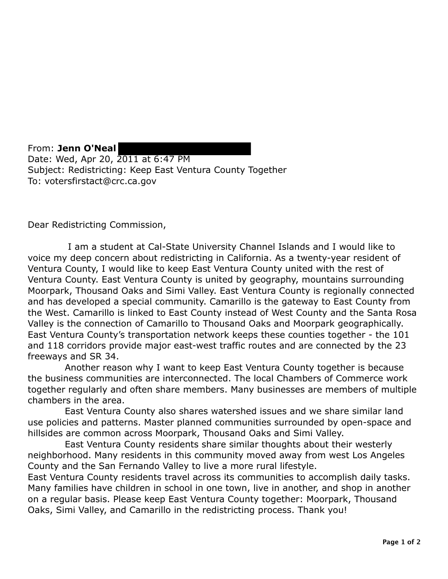From: **Jenn O'Neal**  Date: Wed, Apr 20, 2011 at 6:47 PM Subject: Redistricting: Keep East Ventura County Together To: votersfirstact@crc.ca.gov

Dear Redistricting Commission,

I am a student at Cal-State University Channel Islands and I would like to voice my deep concern about redistricting in California. As a twenty-year resident of Ventura County, I would like to keep East Ventura County united with the rest of Ventura County. East Ventura County is united by geography, mountains surrounding Moorpark, Thousand Oaks and Simi Valley. East Ventura County is regionally connected and has developed a special community. Camarillo is the gateway to East County from the West. Camarillo is linked to East County instead of West County and the Santa Rosa Valley is the connection of Camarillo to Thousand Oaks and Moorpark geographically. East Ventura County's transportation network keeps these counties together - the 101 and 118 corridors provide major east-west traffic routes and are connected by the 23 freeways and SR 34.

Another reason why I want to keep East Ventura County together is because the business communities are interconnected. The local Chambers of Commerce work together regularly and often share members. Many businesses are members of multiple chambers in the area.

East Ventura County also shares watershed issues and we share similar land use policies and patterns. Master planned communities surrounded by open-space and hillsides are common across Moorpark, Thousand Oaks and Simi Valley.

East Ventura County residents share similar thoughts about their westerly neighborhood. Many residents in this community moved away from west Los Angeles County and the San Fernando Valley to live a more rural lifestyle.

East Ventura County residents travel across its communities to accomplish daily tasks. Many families have children in school in one town, live in another, and shop in another on a regular basis. Please keep East Ventura County together: Moorpark, Thousand Oaks, Simi Valley, and Camarillo in the redistricting process. Thank you!